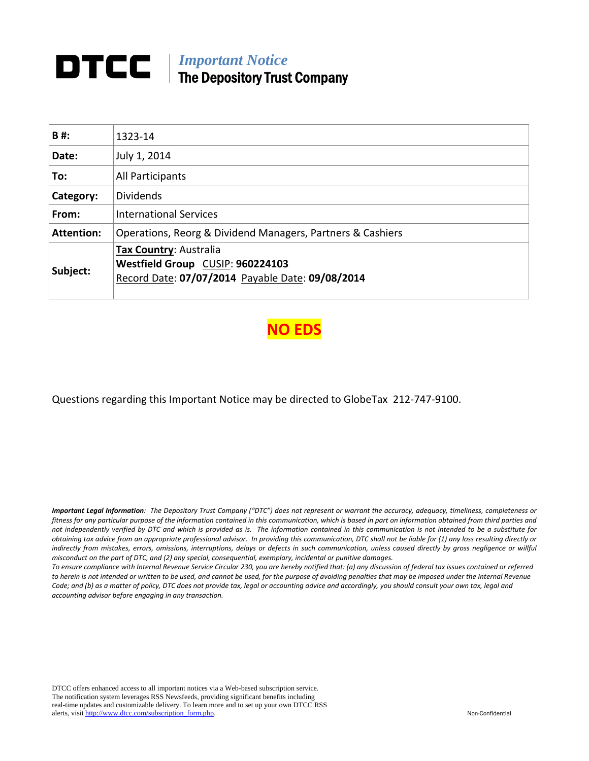# *Important Notice*  The Depository Trust Company

| B#:               | 1323-14                                                                                                        |
|-------------------|----------------------------------------------------------------------------------------------------------------|
| Date:             | July 1, 2014                                                                                                   |
| To:               | All Participants                                                                                               |
| Category:         | <b>Dividends</b>                                                                                               |
| From:             | <b>International Services</b>                                                                                  |
| <b>Attention:</b> | Operations, Reorg & Dividend Managers, Partners & Cashiers                                                     |
| Subject:          | Tax Country: Australia<br>Westfield Group CUSIP: 960224103<br>Record Date: 07/07/2014 Payable Date: 09/08/2014 |

**NO EDS**

Questions regarding this Important Notice may be directed to GlobeTax 212‐747‐9100.

Important Legal Information: The Depository Trust Company ("DTC") does not represent or warrant the accuracy, adequacy, timeliness, completeness or fitness for any particular purpose of the information contained in this communication, which is based in part on information obtained from third parties and not independently verified by DTC and which is provided as is. The information contained in this communication is not intended to be a substitute for obtaining tax advice from an appropriate professional advisor. In providing this communication, DTC shall not be liable for (1) any loss resulting directly or indirectly from mistakes, errors, omissions, interruptions, delays or defects in such communication, unless caused directly by gross negligence or willful *misconduct on the part of DTC, and (2) any special, consequential, exemplary, incidental or punitive damages.*

To ensure compliance with Internal Revenue Service Circular 230, you are hereby notified that: (a) any discussion of federal tax issues contained or referred to herein is not intended or written to be used, and cannot be used, for the purpose of avoiding penalties that may be imposed under the Internal Revenue Code; and (b) as a matter of policy, DTC does not provide tax, legal or accounting advice and accordingly, you should consult your own tax, legal and *accounting advisor before engaging in any transaction.*

DTCC offers enhanced access to all important notices via a Web-based subscription service. The notification system leverages RSS Newsfeeds, providing significant benefits including real-time updates and customizable delivery. To learn more and to set up your own DTCC RSS alerts, visit http://www.dtcc.com/subscription\_form.php. Non-Confidential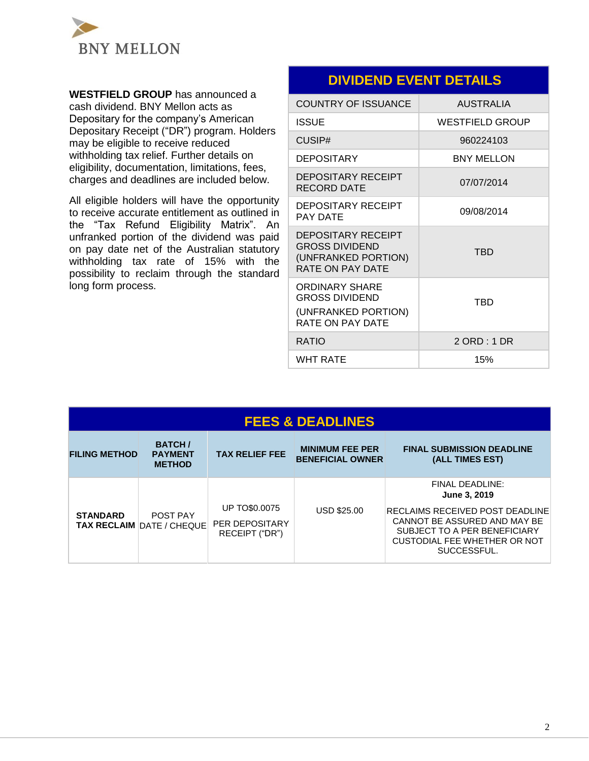

**WESTFIELD GROUP** has announced a cash dividend. BNY Mellon acts as Depositary for the company's American Depositary Receipt ("DR") program. Holders may be eligible to receive reduced withholding tax relief. Further details on eligibility, documentation, limitations, fees, charges and deadlines are included below.

All eligible holders will have the opportunity to receive accurate entitlement as outlined in the "Tax Refund Eligibility Matrix". An unfranked portion of the dividend was paid on pay date net of the Australian statutory withholding tax rate of 15% with the possibility to reclaim through the standard long form process.

## **DIVIDEND EVENT DETAILS**

| <b>COUNTRY OF ISSUANCE</b>                                                                           | <b>AUSTRALIA</b>       |
|------------------------------------------------------------------------------------------------------|------------------------|
| <b>ISSUE</b>                                                                                         | <b>WESTFIELD GROUP</b> |
| CUSIP#                                                                                               | 960224103              |
| <b>DEPOSITARY</b>                                                                                    | <b>BNY MELLON</b>      |
| <b>DEPOSITARY RECEIPT</b><br><b>RECORD DATE</b>                                                      | 07/07/2014             |
| <b>DEPOSITARY RECEIPT</b><br><b>PAY DATE</b>                                                         | 09/08/2014             |
| <b>DEPOSITARY RECEIPT</b><br><b>GROSS DIVIDEND</b><br>(UNFRANKED PORTION)<br><b>RATE ON PAY DATE</b> | TRD                    |
| <b>ORDINARY SHARE</b><br><b>GROSS DIVIDEND</b><br>(UNFRANKED PORTION)<br>RATE ON PAY DATE            | TRD                    |
| RATIO                                                                                                | 2 ORD : 1 DR           |
| <b>WHT RATE</b>                                                                                      | 15%                    |

| <b>FEES &amp; DEADLINES</b> |                                                  |                                                          |                                                   |                                                                                                                                                                                                 |
|-----------------------------|--------------------------------------------------|----------------------------------------------------------|---------------------------------------------------|-------------------------------------------------------------------------------------------------------------------------------------------------------------------------------------------------|
| <b>FILING METHOD</b>        | <b>BATCH/</b><br><b>PAYMENT</b><br><b>METHOD</b> | <b>TAX RELIEF FEE</b>                                    | <b>MINIMUM FEE PER</b><br><b>BENEFICIAL OWNER</b> | <b>FINAL SUBMISSION DEADLINE</b><br>(ALL TIMES EST)                                                                                                                                             |
| <b>STANDARD</b>             | POST PAY<br><b>TAX RECLAIM DATE / CHEQUE</b>     | <b>UP TO\$0,0075</b><br>PER DEPOSITARY<br>RECEIPT ("DR") | <b>USD \$25.00</b>                                | <b>FINAL DEADLINE:</b><br>June 3, 2019<br><b>RECLAIMS RECEIVED POST DEADLINE</b><br>CANNOT BE ASSURED AND MAY BE<br>SUBJECT TO A PER BENEFICIARY<br>CUSTODIAL FEE WHETHER OR NOT<br>SUCCESSFUL. |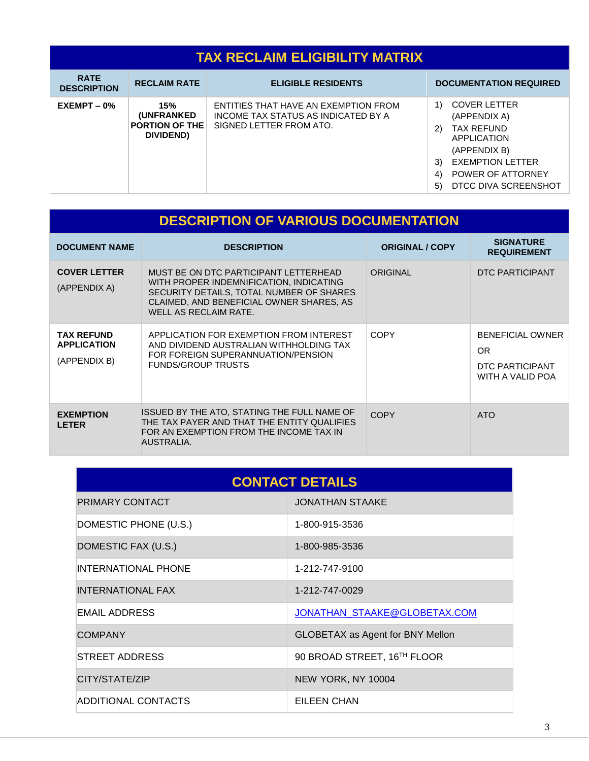#### **TAX RECLAIM ELIGIBILITY MATRIX RATE DESCRIPTION** RECLAIM RATE **ELIGIBLE RESIDENTS DOCUMENTATION REQUIRED EXEMPT – 0% 15% (UNFRANKED PORTION OF THE DIVIDEND)** ENTITIES THAT HAVE AN EXEMPTION FROM INCOME TAX STATUS AS INDICATED BY A SIGNED LETTER FROM ATO. 1) COVER LETTER (APPENDIX A) 2) TAX REFUND APPLICATION (APPENDIX B) 3) EXEMPTION LETTER 4) POWER OF ATTORNEY 5) DTCC DIVA SCREENSHOT

| <b>DESCRIPTION OF VARIOUS DOCUMENTATION</b>             |                                                                                                                                                                                                   |                        |                                                                       |  |
|---------------------------------------------------------|---------------------------------------------------------------------------------------------------------------------------------------------------------------------------------------------------|------------------------|-----------------------------------------------------------------------|--|
| <b>DOCUMENT NAME</b>                                    | <b>DESCRIPTION</b>                                                                                                                                                                                | <b>ORIGINAL / COPY</b> | <b>SIGNATURE</b><br><b>REQUIREMENT</b>                                |  |
| <b>COVER LETTER</b><br>(APPENDIX A)                     | MUST BE ON DTC PARTICIPANT LETTERHEAD<br>WITH PROPER INDEMNIFICATION, INDICATING<br>SECURITY DETAILS, TOTAL NUMBER OF SHARES<br>CLAIMED, AND BENEFICIAL OWNER SHARES, AS<br>WELL AS RECLAIM RATE. | ORIGINAL               | DTC PARTICIPANT                                                       |  |
| <b>TAX REFUND</b><br><b>APPLICATION</b><br>(APPENDIX B) | APPLICATION FOR EXEMPTION FROM INTEREST<br>AND DIVIDEND AUSTRALIAN WITHHOLDING TAX<br>FOR FOREIGN SUPERANNUATION/PENSION<br><b>FUNDS/GROUP TRUSTS</b>                                             | <b>COPY</b>            | <b>BENEFICIAL OWNER</b><br>OR.<br>DTC PARTICIPANT<br>WITH A VALID POA |  |
| <b>EXEMPTION</b><br><b>LETER</b>                        | ISSUED BY THE ATO, STATING THE FULL NAME OF<br>THE TAX PAYER AND THAT THE ENTITY QUALIFIES<br>FOR AN EXEMPTION FROM THE INCOME TAX IN<br>AUSTRALIA.                                               | <b>COPY</b>            | <b>ATO</b>                                                            |  |

| <b>CONTACT DETAILS</b>     |                                         |  |  |
|----------------------------|-----------------------------------------|--|--|
| PRIMARY CONTACT            | <b>JONATHAN STAAKE</b>                  |  |  |
| DOMESTIC PHONE (U.S.)      | 1-800-915-3536                          |  |  |
| DOMESTIC FAX (U.S.)        | 1-800-985-3536                          |  |  |
| <b>INTERNATIONAL PHONE</b> | 1-212-747-9100                          |  |  |
| <b>INTERNATIONAL FAX</b>   | 1-212-747-0029                          |  |  |
| EMAIL ADDRESS              | JONATHAN_STAAKE@GLOBETAX.COM            |  |  |
| <b>COMPANY</b>             | <b>GLOBETAX as Agent for BNY Mellon</b> |  |  |
| STREET ADDRESS             | 90 BROAD STREET, 16TH FLOOR             |  |  |
| CITY/STATE/ZIP             | NEW YORK, NY 10004                      |  |  |
| <b>ADDITIONAL CONTACTS</b> | EILEEN CHAN                             |  |  |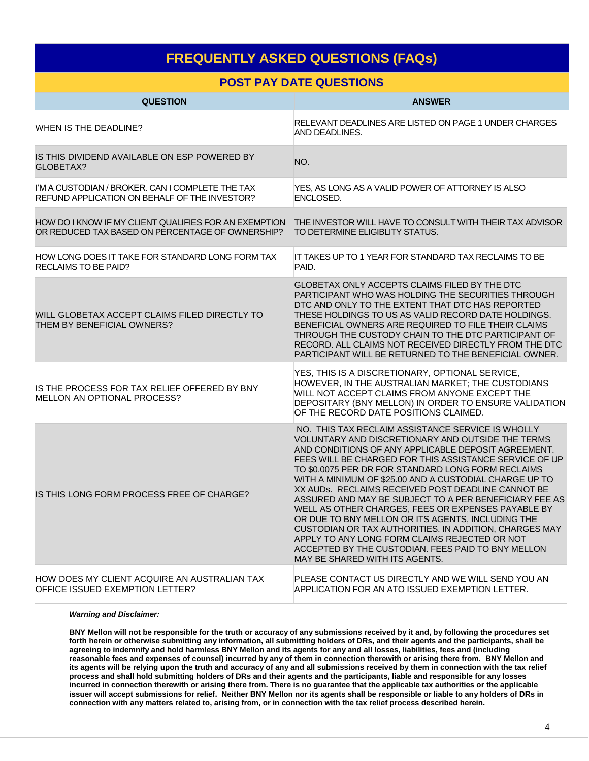## **FREQUENTLY ASKED QUESTIONS (FAQs)**

### **POST PAY DATE QUESTIONS**

| <b>QUESTION</b>                                                                                           | <b>ANSWER</b>                                                                                                                                                                                                                                                                                                                                                                                                                                                                                                                                                                                                                                                                                                                                                         |
|-----------------------------------------------------------------------------------------------------------|-----------------------------------------------------------------------------------------------------------------------------------------------------------------------------------------------------------------------------------------------------------------------------------------------------------------------------------------------------------------------------------------------------------------------------------------------------------------------------------------------------------------------------------------------------------------------------------------------------------------------------------------------------------------------------------------------------------------------------------------------------------------------|
| <b>WHEN IS THE DEADLINE?</b>                                                                              | RELEVANT DEADLINES ARE LISTED ON PAGE 1 UNDER CHARGES<br>AND DEADLINES.                                                                                                                                                                                                                                                                                                                                                                                                                                                                                                                                                                                                                                                                                               |
| IS THIS DIVIDEND AVAILABLE ON ESP POWERED BY<br>GLOBETAX?                                                 | NO.                                                                                                                                                                                                                                                                                                                                                                                                                                                                                                                                                                                                                                                                                                                                                                   |
| I'M A CUSTODIAN / BROKER, CAN I COMPLETE THE TAX<br>REFUND APPLICATION ON BEHALF OF THE INVESTOR?         | YES. AS LONG AS A VALID POWER OF ATTORNEY IS ALSO<br>ENCLOSED.                                                                                                                                                                                                                                                                                                                                                                                                                                                                                                                                                                                                                                                                                                        |
| HOW DO I KNOW IF MY CLIENT QUALIFIES FOR AN EXEMPTION<br>OR REDUCED TAX BASED ON PERCENTAGE OF OWNERSHIP? | THE INVESTOR WILL HAVE TO CONSULT WITH THEIR TAX ADVISOR<br>TO DETERMINE ELIGIBLITY STATUS.                                                                                                                                                                                                                                                                                                                                                                                                                                                                                                                                                                                                                                                                           |
| HOW LONG DOES IT TAKE FOR STANDARD LONG FORM TAX<br><b>RECLAIMS TO BE PAID?</b>                           | IT TAKES UP TO 1 YEAR FOR STANDARD TAX RECLAIMS TO BE<br>PAID.                                                                                                                                                                                                                                                                                                                                                                                                                                                                                                                                                                                                                                                                                                        |
| WILL GLOBETAX ACCEPT CLAIMS FILED DIRECTLY TO<br>THEM BY BENEFICIAL OWNERS?                               | GLOBETAX ONLY ACCEPTS CLAIMS FILED BY THE DTC<br>PARTICIPANT WHO WAS HOLDING THE SECURITIES THROUGH<br>DTC AND ONLY TO THE EXTENT THAT DTC HAS REPORTED<br>THESE HOLDINGS TO US AS VALID RECORD DATE HOLDINGS.<br>BENEFICIAL OWNERS ARE REQUIRED TO FILE THEIR CLAIMS<br>THROUGH THE CUSTODY CHAIN TO THE DTC PARTICIPANT OF<br>RECORD. ALL CLAIMS NOT RECEIVED DIRECTLY FROM THE DTC<br>PARTICIPANT WILL BE RETURNED TO THE BENEFICIAL OWNER.                                                                                                                                                                                                                                                                                                                        |
| IS THE PROCESS FOR TAX RELIEF OFFERED BY BNY<br>MELLON AN OPTIONAL PROCESS?                               | YES, THIS IS A DISCRETIONARY, OPTIONAL SERVICE,<br>HOWEVER, IN THE AUSTRALIAN MARKET; THE CUSTODIANS<br>WILL NOT ACCEPT CLAIMS FROM ANYONE EXCEPT THE<br>DEPOSITARY (BNY MELLON) IN ORDER TO ENSURE VALIDATION<br>OF THE RECORD DATE POSITIONS CLAIMED.                                                                                                                                                                                                                                                                                                                                                                                                                                                                                                               |
| IS THIS LONG FORM PROCESS FREE OF CHARGE?                                                                 | NO. THIS TAX RECLAIM ASSISTANCE SERVICE IS WHOLLY<br>VOLUNTARY AND DISCRETIONARY AND OUTSIDE THE TERMS<br>AND CONDITIONS OF ANY APPLICABLE DEPOSIT AGREEMENT.<br>FEES WILL BE CHARGED FOR THIS ASSISTANCE SERVICE OF UP<br>TO \$0.0075 PER DR FOR STANDARD LONG FORM RECLAIMS<br>WITH A MINIMUM OF \$25.00 AND A CUSTODIAL CHARGE UP TO<br>XX AUDS. RECLAIMS RECEIVED POST DEADLINE CANNOT BE<br>ASSURED AND MAY BE SUBJECT TO A PER BENEFICIARY FEE AS<br>WELL AS OTHER CHARGES, FEES OR EXPENSES PAYABLE BY<br>OR DUE TO BNY MELLON OR ITS AGENTS, INCLUDING THE<br>CUSTODIAN OR TAX AUTHORITIES. IN ADDITION, CHARGES MAY<br>APPLY TO ANY LONG FORM CLAIMS REJECTED OR NOT<br>ACCEPTED BY THE CUSTODIAN. FEES PAID TO BNY MELLON<br>MAY BE SHARED WITH ITS AGENTS. |
| HOW DOES MY CLIENT ACQUIRE AN AUSTRALIAN TAX<br>OFFICE ISSUED EXEMPTION LETTER?                           | PLEASE CONTACT US DIRECTLY AND WE WILL SEND YOU AN<br>APPLICATION FOR AN ATO ISSUED EXEMPTION LETTER.                                                                                                                                                                                                                                                                                                                                                                                                                                                                                                                                                                                                                                                                 |

#### *Warning and Disclaimer:*

**BNY Mellon will not be responsible for the truth or accuracy of any submissions received by it and, by following the procedures set forth herein or otherwise submitting any information, all submitting holders of DRs, and their agents and the participants, shall be agreeing to indemnify and hold harmless BNY Mellon and its agents for any and all losses, liabilities, fees and (including reasonable fees and expenses of counsel) incurred by any of them in connection therewith or arising there from. BNY Mellon and its agents will be relying upon the truth and accuracy of any and all submissions received by them in connection with the tax relief process and shall hold submitting holders of DRs and their agents and the participants, liable and responsible for any losses incurred in connection therewith or arising there from. There is no guarantee that the applicable tax authorities or the applicable issuer will accept submissions for relief. Neither BNY Mellon nor its agents shall be responsible or liable to any holders of DRs in connection with any matters related to, arising from, or in connection with the tax relief process described herein.**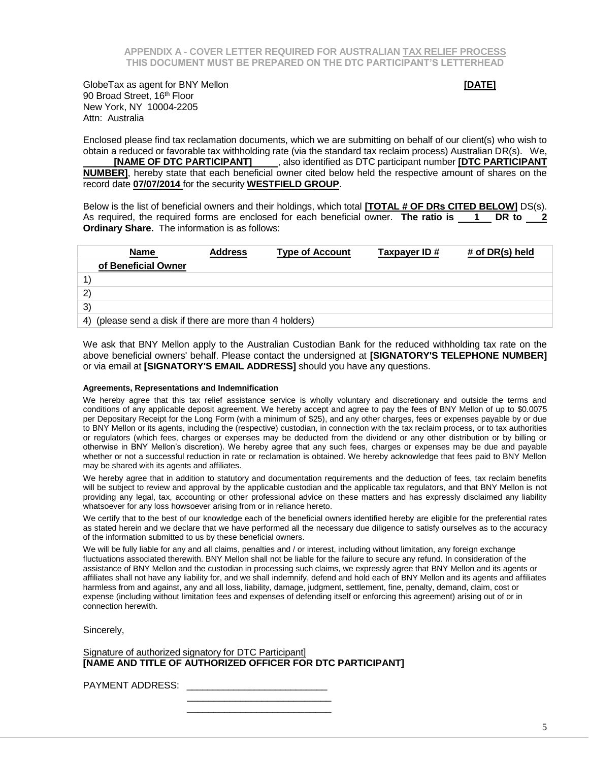GlobeTax as agent for BNY Mellon **by the Contract of Contract Contract Contract Contract CONTE]** 90 Broad Street, 16<sup>th</sup> Floor New York, NY 10004-2205 Attn: Australia

Enclosed please find tax reclamation documents, which we are submitting on behalf of our client(s) who wish to obtain a reduced or favorable tax withholding rate (via the standard tax reclaim process) Australian DR(s). We, **[NAME OF DTC PARTICIPANT]**, also identified as DTC participant number **[DTC PARTICIPANT NUMBER]**, hereby state that each beneficial owner cited below held the respective amount of shares on the record date **07/07/2014** for the security **WESTFIELD GROUP**.

Below is the list of beneficial owners and their holdings, which total **[TOTAL # OF DRs CITED BELOW]** DS(s). As required, the required forms are enclosed for each beneficial owner. **The ratio is 1 DR to 2 Ordinary Share.** The information is as follows:

| <b>Name</b>         | <b>Address</b>                                           | <b>Type of Account</b> | Taxpayer ID# | # of DR(s) held |
|---------------------|----------------------------------------------------------|------------------------|--------------|-----------------|
| of Beneficial Owner |                                                          |                        |              |                 |
|                     |                                                          |                        |              |                 |
| $\mathbf{2}$        |                                                          |                        |              |                 |
| 3)                  |                                                          |                        |              |                 |
|                     | 4) (please send a disk if there are more than 4 holders) |                        |              |                 |

We ask that BNY Mellon apply to the Australian Custodian Bank for the reduced withholding tax rate on the above beneficial owners' behalf. Please contact the undersigned at **[SIGNATORY'S TELEPHONE NUMBER]**  or via email at **[SIGNATORY'S EMAIL ADDRESS]** should you have any questions.

### **Agreements, Representations and Indemnification**

We hereby agree that this tax relief assistance service is wholly voluntary and discretionary and outside the terms and conditions of any applicable deposit agreement. We hereby accept and agree to pay the fees of BNY Mellon of up to \$0.0075 per Depositary Receipt for the Long Form (with a minimum of \$25), and any other charges, fees or expenses payable by or due to BNY Mellon or its agents, including the (respective) custodian, in connection with the tax reclaim process, or to tax authorities or regulators (which fees, charges or expenses may be deducted from the dividend or any other distribution or by billing or otherwise in BNY Mellon's discretion). We hereby agree that any such fees, charges or expenses may be due and payable whether or not a successful reduction in rate or reclamation is obtained. We hereby acknowledge that fees paid to BNY Mellon may be shared with its agents and affiliates.

We hereby agree that in addition to statutory and documentation requirements and the deduction of fees, tax reclaim benefits will be subject to review and approval by the applicable custodian and the applicable tax regulators, and that BNY Mellon is not providing any legal, tax, accounting or other professional advice on these matters and has expressly disclaimed any liability whatsoever for any loss howsoever arising from or in reliance hereto.

We certify that to the best of our knowledge each of the beneficial owners identified hereby are eligible for the preferential rates as stated herein and we declare that we have performed all the necessary due diligence to satisfy ourselves as to the accuracy of the information submitted to us by these beneficial owners.

We will be fully liable for any and all claims, penalties and / or interest, including without limitation, any foreign exchange fluctuations associated therewith. BNY Mellon shall not be liable for the failure to secure any refund. In consideration of the assistance of BNY Mellon and the custodian in processing such claims, we expressly agree that BNY Mellon and its agents or affiliates shall not have any liability for, and we shall indemnify, defend and hold each of BNY Mellon and its agents and affiliates harmless from and against, any and all loss, liability, damage, judgment, settlement, fine, penalty, demand, claim, cost or expense (including without limitation fees and expenses of defending itself or enforcing this agreement) arising out of or in connection herewith.

Sincerely,

Signature of authorized signatory for DTC Participant] **[NAME AND TITLE OF AUTHORIZED OFFICER FOR DTC PARTICIPANT]**

\_\_\_\_\_\_\_\_\_\_\_\_\_\_\_\_\_\_\_\_\_\_\_\_\_\_\_

 $\frac{1}{\sqrt{2}}$  ,  $\frac{1}{\sqrt{2}}$  ,  $\frac{1}{\sqrt{2}}$  ,  $\frac{1}{\sqrt{2}}$  ,  $\frac{1}{\sqrt{2}}$  ,  $\frac{1}{\sqrt{2}}$  ,  $\frac{1}{\sqrt{2}}$  ,  $\frac{1}{\sqrt{2}}$  ,  $\frac{1}{\sqrt{2}}$  ,  $\frac{1}{\sqrt{2}}$  ,  $\frac{1}{\sqrt{2}}$  ,  $\frac{1}{\sqrt{2}}$  ,  $\frac{1}{\sqrt{2}}$  ,  $\frac{1}{\sqrt{2}}$  ,  $\frac{1}{\sqrt{2}}$ 

PAYMENT ADDRESS: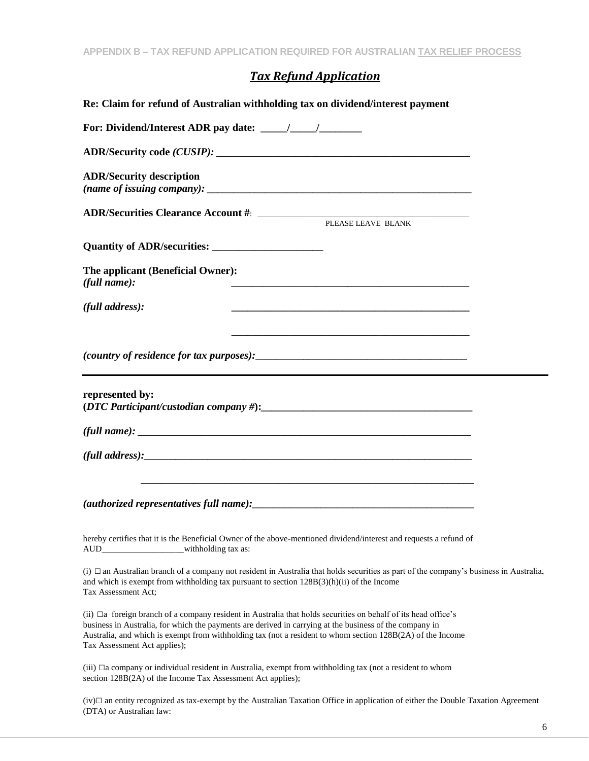## *Tax Refund Application*

| Re: Claim for refund of Australian withholding tax on dividend/interest payment                                                                                                                                                                                                                                                                                               |  |
|-------------------------------------------------------------------------------------------------------------------------------------------------------------------------------------------------------------------------------------------------------------------------------------------------------------------------------------------------------------------------------|--|
|                                                                                                                                                                                                                                                                                                                                                                               |  |
|                                                                                                                                                                                                                                                                                                                                                                               |  |
| <b>ADR/Security description</b>                                                                                                                                                                                                                                                                                                                                               |  |
|                                                                                                                                                                                                                                                                                                                                                                               |  |
|                                                                                                                                                                                                                                                                                                                                                                               |  |
| The applicant (Beneficial Owner):<br>(full name):<br><u> 1989 - Johann Stoff, deutscher Stoff, der Stoff, der Stoff, der Stoff, der Stoff, der Stoff, der Stoff, der S</u>                                                                                                                                                                                                    |  |
| (full address):                                                                                                                                                                                                                                                                                                                                                               |  |
|                                                                                                                                                                                                                                                                                                                                                                               |  |
| represented by:                                                                                                                                                                                                                                                                                                                                                               |  |
| (full name): $\frac{1}{2}$ = $\frac{1}{2}$ = $\frac{1}{2}$ = $\frac{1}{2}$ = $\frac{1}{2}$ = $\frac{1}{2}$ = $\frac{1}{2}$ = $\frac{1}{2}$ = $\frac{1}{2}$ = $\frac{1}{2}$ = $\frac{1}{2}$ = $\frac{1}{2}$ = $\frac{1}{2}$ = $\frac{1}{2}$ = $\frac{1}{2}$ = $\frac{1}{2}$ = $\frac{1}{2}$ = $\frac{$                                                                         |  |
|                                                                                                                                                                                                                                                                                                                                                                               |  |
|                                                                                                                                                                                                                                                                                                                                                                               |  |
| hereby certifies that it is the Beneficial Owner of the above-mentioned dividend/interest and requests a refund of<br>AUD_________________________withholding tax as:                                                                                                                                                                                                         |  |
| $(i)$ $\Box$ an Australian branch of a company not resident in Australia that holds securities as part of the company's business in Australia,<br>and which is exempt from withholding tax pursuant to section $128B(3)(h)(ii)$ of the Income<br>Tax Assessment Act;                                                                                                          |  |
| (ii) $\Box a$ foreign branch of a company resident in Australia that holds securities on behalf of its head office's<br>business in Australia, for which the payments are derived in carrying at the business of the company in<br>Australia, and which is exempt from withholding tax (not a resident to whom section 128B(2A) of the Income<br>Tax Assessment Act applies); |  |
| $(iii)$ $\Box a$ company or individual resident in Australia, exempt from withholding tax (not a resident to whom<br>section 128B(2A) of the Income Tax Assessment Act applies);                                                                                                                                                                                              |  |
| $(iv)$ an entity recognized as tax-exempt by the Australian Taxation Office in application of either the Double Taxation Agreement<br>(DTA) or Australian law:                                                                                                                                                                                                                |  |